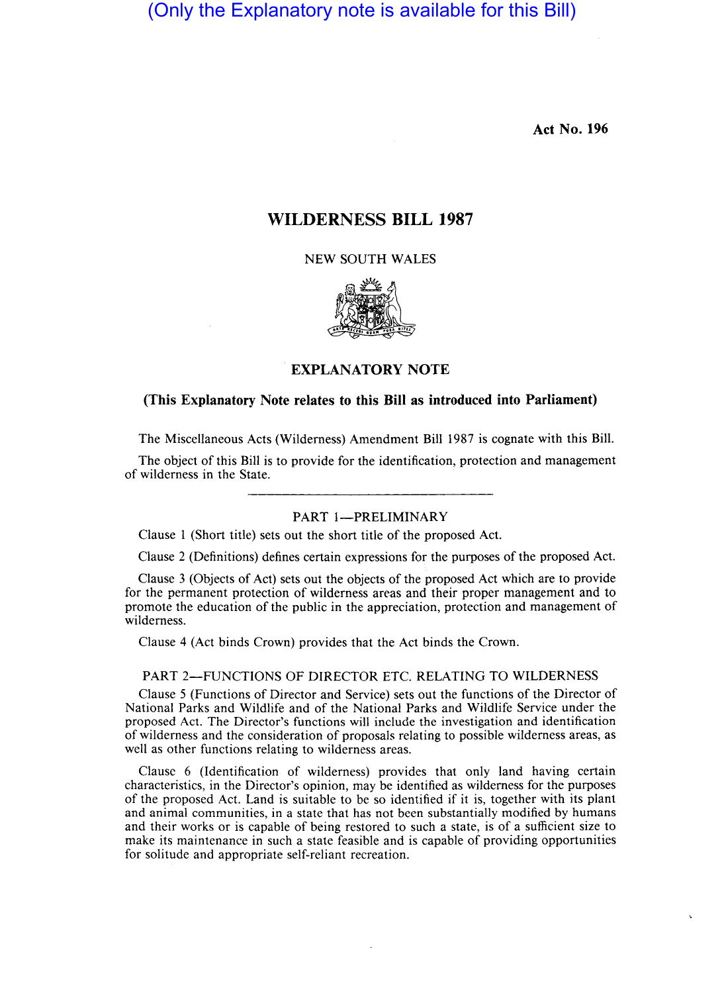**Act No. 196** 

# **WILDERNESS BILL 1987**

NEW SOUTH WALES



**EXPLANATORY NOTE** 

## **(This Explanatory Note relates to this Bill as introduced into Parliament)**

The Miscellaneous Acts (Wilderness) Amendment Bill 1987 is cognate with this Bill.

The object of this Bill is to provide for the identification, protection and management of wilderness in the State.

# PART 1-PRELIMINARY

Clause 1 (Short title) sets out the short title of the proposed Act.

Clause 2 (Definitions) defines certain expressions for the purposes of the proposed Act.

Clause 3 (Objects of Act) sets out the objects of the proposed Act which are to provide for the permanent protection of wilderness areas and their proper management and to promote the education of the public in the appreciation, protection and management of wilderness.

Clause 4 (Act binds Crown) provides that the Act binds the Crown.

# PART 2-FUNCTIONS OF DIRECTOR ETC. RELATING TO WILDERNESS

Clause 5 (Functions of Director and Service) sets out the functions of the Director of National Parks and Wildlife and of the National Parks and Wildlife Service under the proposed Act. The Director's functions will include the investigation and identification of wilderness and the consideration of proposals relating to possible wilderness areas, as well as other functions relating to wilderness areas.

Clausc 6 (Identification of wilderness) provides that only land having certain characteristics, in the Director's opinion, may be identified as wilderness for the purposes of the proposed Act. Land is suitable to be so identified if it is, together with its plant and animal communities, in a state that has not been substantially modified by humans and their works or is capable of being restored to such a state, is of a sufficient size to make its maintenance in such a state feasible and is capable of providing opportunities for solitude and appropriate self-reliant recreation.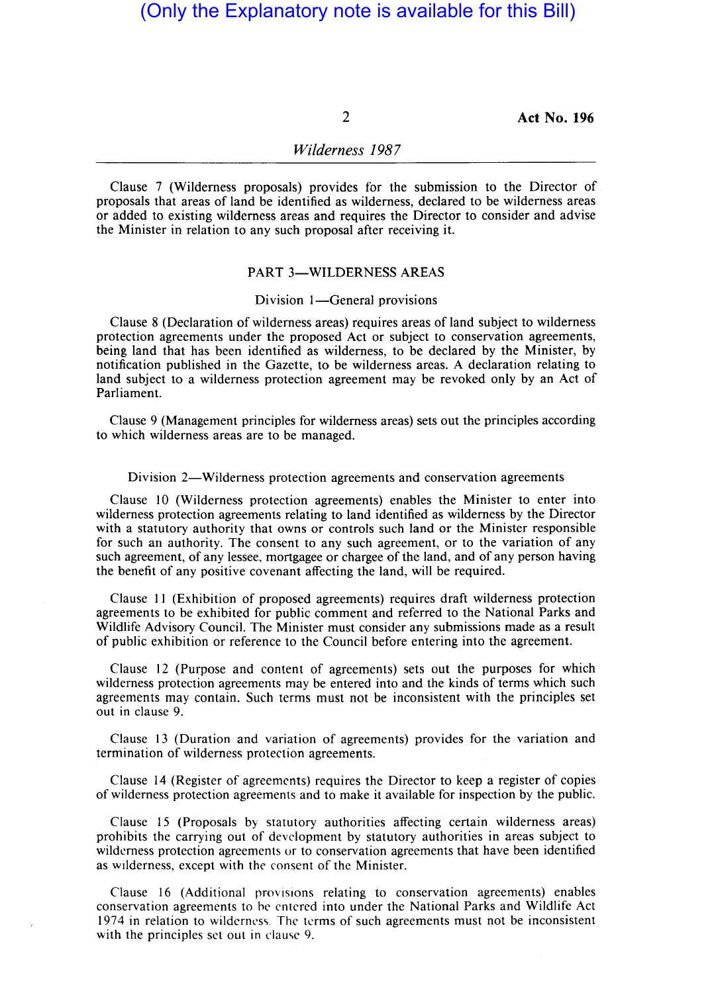2 Act No. **196** 

# *Wilderness 1987*

Clause 7 (Wilderness proposals) provides for the submission to the Director of proposals that areas of land be identified as wilderness, declared to be wilderness areas or added to existing wilderness areas and requires the Director to consider and advise the Minister in relation to any such proposal after receiving it.

# PART 3-WILDERNESS AREAS

#### Division 1-General provisions

Clause 8 (Declaration of wilderness areas) requires areas of land subject to wilderness protection agreements under the proposed Act or subject to conservation agreements, being land that has been identified as wilderness, to be declared by the Minister, by notification published in the Gazette, to be wilderness areas. A declaration relating to land subject to a wilderness protection agreement may be revoked only by an Act of Parliament.

Clause 9 (Management principles for wilderness areas) sets out the principles according to which wilderness areas are to be managed.

#### Division 2—Wilderness protection agreements and conservation agreements

Clause 10 (Wilderness protection agreements) enables the Minister to enter into wilderness protection agreements relating to land identified as wilderness by the Director with a statutory authority that owns or controls such land or the Minister responsible for such an authority. The consent to any such agreement, or to the variation of any such agreement, of any lessee, mortgagee or chargee of the land, and of any person having the benefit of any positive covenant affecting the land, will be required.

Clause 11 (Exhibition of proposed agreements) requires draft wilderness protection agreements to be exhibited for public comment and referred to the National Parks and Wildlife Advisory Council. The Minister must consider any submissions made as a result of public exhibition or reference to the Council before entering into the agreement.

Clause 12 (Purpose and content of agreements) sets out the purposes for which wilderness protection agreements may be entered into and the kinds of terms which such agreements may contain. Such terms must not be inconsistent with the principles set out in clause 9.

Clause 13 (Duration and variation of agreements) provides for the variation and termination of wilderness protection agreements.

Clause 14 (Register of agreements) requires the Director to keep a register of copies of wilderness protection agreements and to make it available for inspection by the public.

Clause 15 (Proposals by statutory authorities affecting certain wilderness areas) prohibits the carrying out of development by statutory authorities in areas subject to wilderness protection agreements or to conservation agreements that have been identified as wilderness, except with the consent of the Minister.

Clause 16 (Additional rrovislons relating to conservation agreements) enables conservation agreements to he entered into under the National Parks and Wildlife Act 1974 in relation to wilderness. The terms of such agreements must not be inconsistent with the principles set out in clause 9.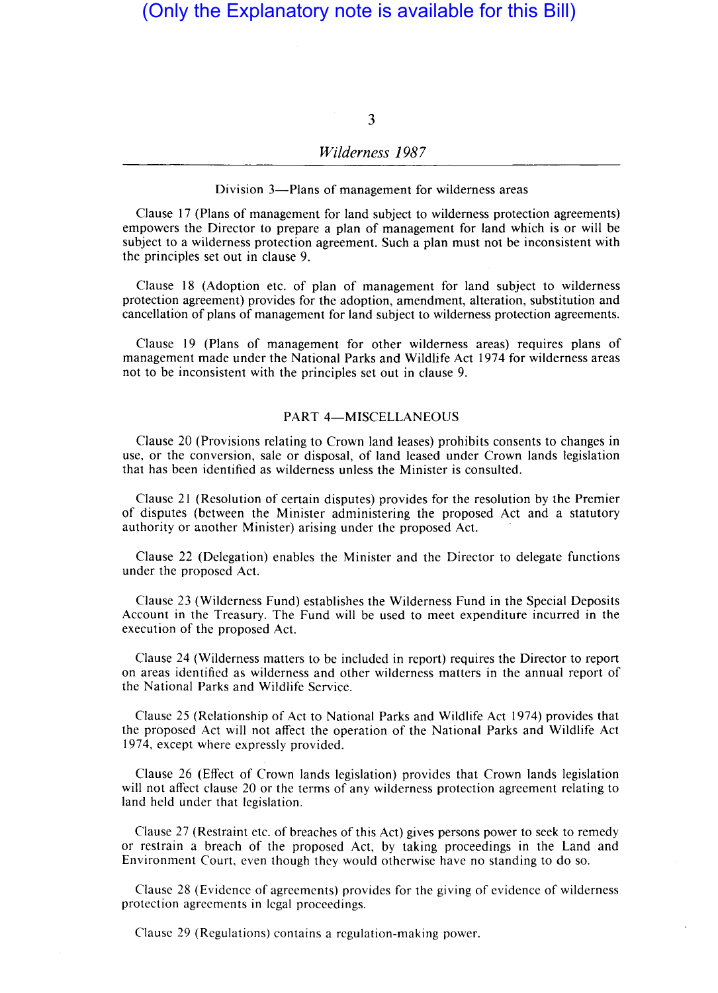3

## *Wilderness* 1987

Division 3-Plans of management for wilderness areas

Clause 17 (Plans of management for land subject to wilderness protection agreements) empowers the Director to prepare a plan of management for land which is or will be subject to a wilderness protection agreement. Such a plan must not be inconsistent with the principles set out in clause 9.

Clause 18 (Adoption etc. of plan of management for land subject to wilderness protection agreement) provides for the adoption, amendment, alteration, substitution and cancellation of plans of management for land subject to wilderness protection agreements.

Clause 19 (Plans of management for other wilderness areas) requires plans of management made under the National Parks and Wildlife Act 1974 for wilderness areas not to be inconsistent with the principles set out in clause 9.

## PART 4-MISCELLANEOUS

Clause 20 (Provisions relating to Crown land leases) prohibits consents to changes in use, or the conversion, sale or disposal, of land leased under Crown lands legislation that has been identified as wilderness unless the Minister is consulted.

Clause 21 (Resolution of certain disputes) provides for the resolution by the Premier of disputes (between the Minister administering the proposed Act and a statutory authority or another Minister) arising under the proposed Act.

Clause 22 (Delegation) enables the Minister and the Director to delegate functions under the proposed Act.

Clause 23 (Wilderness Fund) establishes the Wilderness Fund in the Special Deposits Account in the Treasury. The Fund will be used to meet expenditure incurred in the execution of the proposed Act.

Clause 24 (Wilderness matters to be included in report) requires the Director to report on areas identified as wilderness and other wilderness matters in the annual report of the National Parks and Wildlife Service.

Clause 25 (Relationship of Act to National Parks and Wildlife Act 1974) provides that the proposed Act will not affect the operation of the National Parks and Wildlife Act 1974, except where expressly provided.

Clause 26 (Effect of Crown lands legislation) provides that Crown lands legislation will not affect clause 20 or the terms of any wilderness protection agreement relating to land held under that legislation.

Clause 27 (Restraint etc. of breaches of this Act) gives persons power to seek to remedy or restrain a breach of the proposed Act, by taking proceedings in the Land and Environment Court, even though they would otherwise have no standing to do so.

Clause 28 (Evidence of agreements) provides for the giving of evidence of wilderness protection agreements in legal proceedings.

Clause 29 (Regulations) contains a regulation-making power.